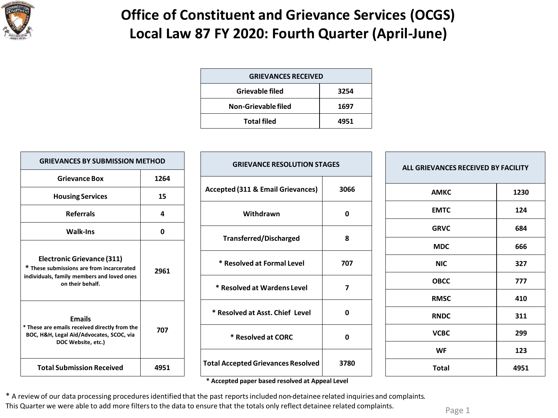

## **Office of Constituent and Grievance Services (OCGS) Local Law 87 FY 2020: Fourth Quarter (April-June)**

| <b>GRIEVANCES RECEIVED</b> |      |  |  |  |
|----------------------------|------|--|--|--|
| Grievable filed            | 3254 |  |  |  |
| Non-Grievable filed        | 1697 |  |  |  |
| <b>Total filed</b>         | 4951 |  |  |  |
|                            |      |  |  |  |

| <b>GRIEVANCES BY SUBMISSION METHOD</b>                                                                                                           |      | <b>GRIEVANCE RESOLUTION STAGES</b>                                                            |      | ALL GRIEVANCES RECEIVED BY FACILITY |      |
|--------------------------------------------------------------------------------------------------------------------------------------------------|------|-----------------------------------------------------------------------------------------------|------|-------------------------------------|------|
| <b>Grievance Box</b>                                                                                                                             | 1264 |                                                                                               |      |                                     |      |
| <b>Housing Services</b>                                                                                                                          | 15   | <b>Accepted (311 &amp; Email Grievances)</b>                                                  | 3066 | <b>AMKC</b>                         | 1230 |
| <b>Referrals</b>                                                                                                                                 | 4    | Withdrawn                                                                                     | 0    | <b>EMTC</b>                         | 124  |
| <b>Walk-Ins</b>                                                                                                                                  | 0    |                                                                                               |      | <b>GRVC</b>                         | 684  |
| <b>Electronic Grievance (311)</b><br>* These submissions are from incarcerated<br>individuals, family members and loved ones<br>on their behalf. | 2961 | <b>Transferred/Discharged</b>                                                                 | 8    | <b>MDC</b>                          | 666  |
|                                                                                                                                                  |      | * Resolved at Formal Level                                                                    | 707  | <b>NIC</b>                          | 327  |
|                                                                                                                                                  |      | * Resolved at Wardens Level                                                                   | 7    | <b>OBCC</b>                         | 777  |
|                                                                                                                                                  |      |                                                                                               |      | <b>RMSC</b>                         | 410  |
| <b>Emails</b><br>* These are emails received directly from the<br>BOC, H&H, Legal Aid/Advocates, SCOC, via<br>DOC Website, etc.)                 |      | * Resolved at Asst. Chief Level                                                               | 0    | <b>RNDC</b>                         | 311  |
|                                                                                                                                                  | 707  | * Resolved at CORC                                                                            | 0    | <b>VCBC</b>                         | 299  |
|                                                                                                                                                  |      |                                                                                               |      | <b>WF</b>                           | 123  |
| <b>Total Submission Received</b>                                                                                                                 | 4951 | <b>Total Accepted Grievances Resolved</b><br>* Assembed perceptuaced perchant at Appeal Laugh | 3780 | <b>Total</b>                        | 4951 |

**\* Accepted paper based resolved at Appeal Level**

\* A review of our data processing procedures identified that the past reports included non-detainee related inquiries and complaints. This Quarter we were able to add more filters to the data to ensure that the totals only reflect detainee related complaints.